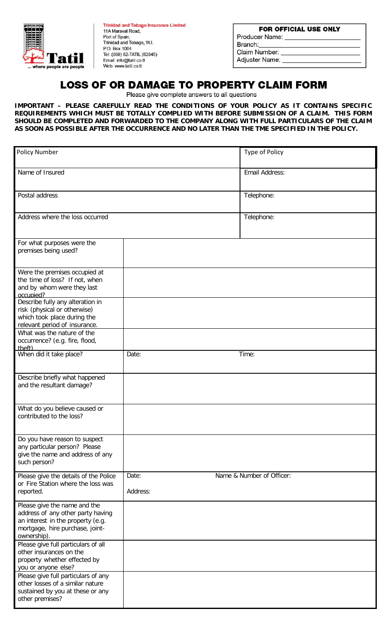

**Trinidad and Tobago Insurance Limited** 11A Maraval Road. Port of Spain, Trinidad and Tobago, W.I. P.O. Box 1004 Tel: (868) 62-TATIL (82845) Email: info@tatil.co.tt Web: www.tatil.co.tt

| <b>FOR OFFICIAL USE ONLY</b> |  |  |  |  |
|------------------------------|--|--|--|--|
| Producer Name:               |  |  |  |  |
| Branch:                      |  |  |  |  |
| Claim Number:                |  |  |  |  |
| Adjuster Name:               |  |  |  |  |

## **LOSS OF OR DAMAGE TO PROPERTY CLAIM FORM**

Please give complete answers to all questions

**IMPORTANT – PLEASE CAREFULLY READ THE CONDITIONS OF YOUR POLICY AS IT CONTAINS SPECIFIC REQUIREMENTS WHICH MUST BE TOTALLY COMPLIED WITH BEFORE SUBMISSION OF A CLAIM. THIS FORM SHOULD BE COMPLETED AND FORWARDED TO THE COMPANY ALONG WITH FULL PARTICULARS OF THE CLAIM AS SOON AS POSSIBLE AFTER THE OCCURRENCE AND NO LATER THAN THE TME SPECIFIED IN THE POLICY.**

| <b>Policy Number</b>                                                                                                                                     |                   | Type of Policy            |
|----------------------------------------------------------------------------------------------------------------------------------------------------------|-------------------|---------------------------|
| Name of Insured                                                                                                                                          |                   | Email Address:            |
| Postal address                                                                                                                                           |                   | Telephone:                |
| Address where the loss occurred                                                                                                                          |                   | Telephone:                |
| For what purposes were the<br>premises being used?                                                                                                       |                   |                           |
| Were the premises occupied at<br>the time of loss? If not, when<br>and by whom were they last<br>occupied?                                               |                   |                           |
| Describe fully any alteration in<br>risk (physical or otherwise)<br>which took place during the<br>relevant period of insurance.                         |                   |                           |
| What was the nature of the<br>occurrence? (e.g. fire, flood,<br>theft)                                                                                   |                   |                           |
| When did it take place?                                                                                                                                  | Date:             | Time:                     |
| Describe briefly what happened<br>and the resultant damage?                                                                                              |                   |                           |
| What do you believe caused or<br>contributed to the loss?                                                                                                |                   |                           |
| Do you have reason to suspect<br>any particular person? Please<br>give the name and address of any<br>such person?                                       |                   |                           |
| Please give the details of the Police<br>or Fire Station where the loss was<br>reported.                                                                 | Date:<br>Address: | Name & Number of Officer: |
| Please give the name and the<br>address of any other party having<br>an interest in the property (e.g.<br>mortgage, hire purchase, joint-<br>ownership). |                   |                           |
| Please give full particulars of all<br>other insurances on the<br>property whether effected by<br>you or anyone else?                                    |                   |                           |
| Please give full particulars of any<br>other losses of a similar nature<br>sustained by you at these or any<br>other premises?                           |                   |                           |